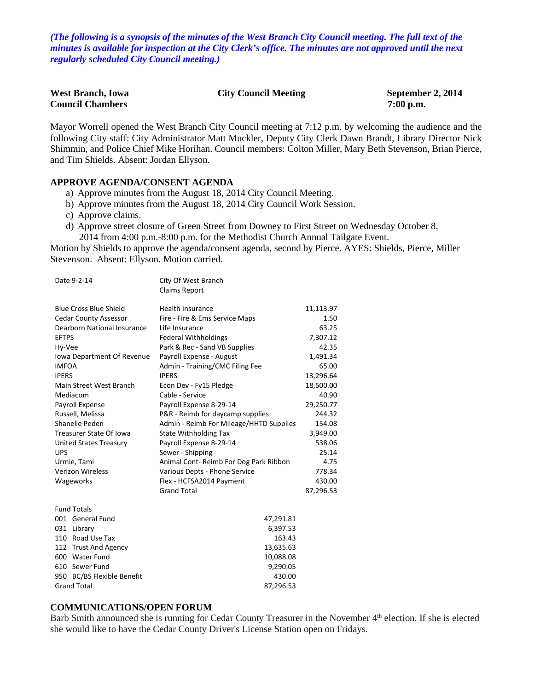*(The following is a synopsis of the minutes of the West Branch City Council meeting. The full text of the minutes is available for inspection at the City Clerk's office. The minutes are not approved until the next regularly scheduled City Council meeting.)*

| <b>West Branch, Iowa</b> | <b>City Council Meeting</b> | September 2, 2014 |
|--------------------------|-----------------------------|-------------------|
| <b>Council Chambers</b>  |                             | $7:00$ p.m.       |

Mayor Worrell opened the West Branch City Council meeting at 7:12 p.m. by welcoming the audience and the following City staff: City Administrator Matt Muckler, Deputy City Clerk Dawn Brandt, Library Director Nick Shimmin, and Police Chief Mike Horihan. Council members: Colton Miller, Mary Beth Stevenson, Brian Pierce, and Tim Shields. Absent: Jordan Ellyson.

#### **APPROVE AGENDA/CONSENT AGENDA**

- a) Approve minutes from the August 18, 2014 City Council Meeting.
- b) Approve minutes from the August 18, 2014 City Council Work Session.
- c) Approve claims.
- d) Approve street closure of Green Street from Downey to First Street on Wednesday October 8, 2014 from 4:00 p.m.-8:00 p.m. for the Methodist Church Annual Tailgate Event.

Motion by Shields to approve the agenda/consent agenda, second by Pierce. AYES: Shields, Pierce, Miller Stevenson. Absent: Ellyson. Motion carried.

| Date 9-2-14                    | City Of West Branch                     |           |
|--------------------------------|-----------------------------------------|-----------|
|                                | <b>Claims Report</b>                    |           |
|                                |                                         |           |
| <b>Blue Cross Blue Shield</b>  | <b>Health Insurance</b>                 | 11,113.97 |
| <b>Cedar County Assessor</b>   | Fire - Fire & Ems Service Maps          | 1.50      |
| Dearborn National Insurance    | Life Insurance                          | 63.25     |
| <b>EFTPS</b>                   | Federal Withholdings                    | 7,307.12  |
| Hy-Vee                         | Park & Rec - Sand VB Supplies           | 42.35     |
| Iowa Department Of Revenue     | Payroll Expense - August                | 1,491.34  |
| <b>IMFOA</b>                   | Admin - Training/CMC Filing Fee         | 65.00     |
| <b>IPERS</b>                   | <b>IPERS</b>                            | 13,296.64 |
| Main Street West Branch        | Econ Dev - Fy15 Pledge                  | 18,500.00 |
| Mediacom                       | Cable - Service                         | 40.90     |
| Payroll Expense                | Payroll Expense 8-29-14                 | 29,250.77 |
| Russell, Melissa               | P&R - Reimb for daycamp supplies        | 244.32    |
| Shanelle Peden                 | Admin - Reimb For Mileage/HHTD Supplies | 154.08    |
| <b>Treasurer State Of Iowa</b> | State Withholding Tax                   | 3,949.00  |
| <b>United States Treasury</b>  | Payroll Expense 8-29-14                 | 538.06    |
| <b>UPS</b>                     | Sewer - Shipping                        | 25.14     |
| Urmie, Tami                    | Animal Cont-Reimb For Dog Park Ribbon   | 4.75      |
| <b>Verizon Wireless</b>        | Various Depts - Phone Service           | 778.34    |
| Wageworks                      | Flex - HCFSA2014 Payment                | 430.00    |
|                                | <b>Grand Total</b>                      | 87,296.53 |
| <b>Fund Totals</b>             |                                         |           |
| 001 General Fund               | 47,291.81                               |           |
| 031 Library                    | 6,397.53                                |           |
| 110 Road Use Tax               | 163.43                                  |           |
| 112 Trust And Agency           | 13,635.63                               |           |
| 600 Water Fund                 | 10,088.08                               |           |
| 610 Sewer Fund                 | 9,290.05                                |           |
| 950 BC/BS Flexible Benefit     | 430.00                                  |           |
| <b>Grand Total</b>             | 87,296.53                               |           |

#### **COMMUNICATIONS/OPEN FORUM**

Barb Smith announced she is running for Cedar County Treasurer in the November 4<sup>th</sup> election. If she is elected she would like to have the Cedar County Driver's License Station open on Fridays.